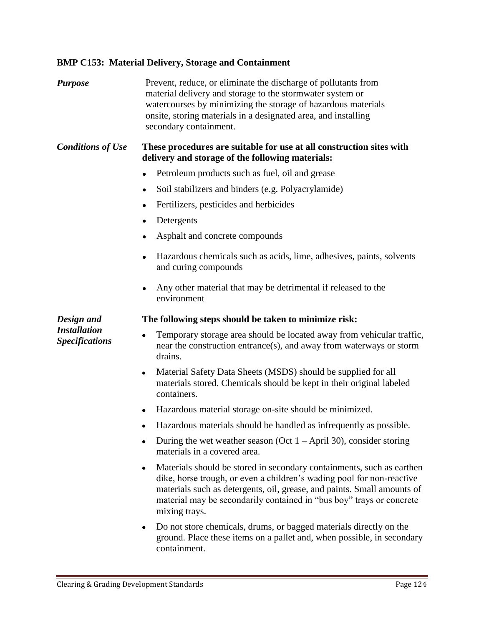## **BMP C153: Material Delivery, Storage and Containment**

| <b>Purpose</b>                                             | Prevent, reduce, or eliminate the discharge of pollutants from<br>material delivery and storage to the stormwater system or<br>watercourses by minimizing the storage of hazardous materials<br>onsite, storing materials in a designated area, and installing<br>secondary containment.                                        |
|------------------------------------------------------------|---------------------------------------------------------------------------------------------------------------------------------------------------------------------------------------------------------------------------------------------------------------------------------------------------------------------------------|
| <b>Conditions of Use</b>                                   | These procedures are suitable for use at all construction sites with<br>delivery and storage of the following materials:                                                                                                                                                                                                        |
|                                                            | Petroleum products such as fuel, oil and grease                                                                                                                                                                                                                                                                                 |
|                                                            | Soil stabilizers and binders (e.g. Polyacrylamide)<br>$\bullet$                                                                                                                                                                                                                                                                 |
|                                                            | Fertilizers, pesticides and herbicides                                                                                                                                                                                                                                                                                          |
|                                                            | Detergents<br>٠                                                                                                                                                                                                                                                                                                                 |
|                                                            | Asphalt and concrete compounds<br>٠                                                                                                                                                                                                                                                                                             |
|                                                            | Hazardous chemicals such as acids, lime, adhesives, paints, solvents<br>and curing compounds                                                                                                                                                                                                                                    |
|                                                            | Any other material that may be detrimental if released to the<br>٠<br>environment                                                                                                                                                                                                                                               |
| Design and<br><b>Installation</b><br><b>Specifications</b> | The following steps should be taken to minimize risk:                                                                                                                                                                                                                                                                           |
|                                                            | Temporary storage area should be located away from vehicular traffic,<br>$\bullet$<br>near the construction entrance(s), and away from waterways or storm<br>drains.                                                                                                                                                            |
|                                                            | Material Safety Data Sheets (MSDS) should be supplied for all<br>$\bullet$<br>materials stored. Chemicals should be kept in their original labeled<br>containers.                                                                                                                                                               |
|                                                            | Hazardous material storage on-site should be minimized.<br>٠                                                                                                                                                                                                                                                                    |
|                                                            | Hazardous materials should be handled as infrequently as possible.                                                                                                                                                                                                                                                              |
|                                                            | During the wet weather season (Oct $1 -$ April 30), consider storing<br>$\bullet$<br>materials in a covered area.                                                                                                                                                                                                               |
|                                                            | Materials should be stored in secondary containments, such as earthen<br>$\bullet$<br>dike, horse trough, or even a children's wading pool for non-reactive<br>materials such as detergents, oil, grease, and paints. Small amounts of<br>material may be secondarily contained in "bus boy" trays or concrete<br>mixing trays. |
|                                                            | Do not store chemicals, drums, or bagged materials directly on the<br>٠<br>ground. Place these items on a pallet and, when possible, in secondary                                                                                                                                                                               |

containment.